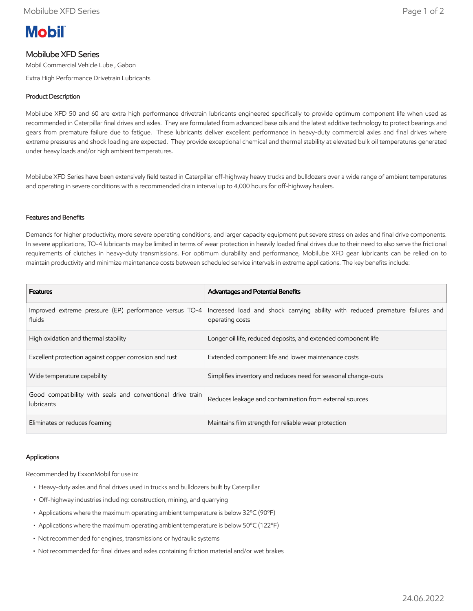# **Mobil**

# Mobilube XFD Series

Mobil Commercial Vehicle Lube , Gabon

Extra High Performance Drivetrain Lubricants

## Product Description

Mobilube XFD 50 and 60 are extra high performance drivetrain lubricants engineered specifically to provide optimum component life when used as recommended in Caterpillar final drives and axles. They are formulated from advanced base oils and the latest additive technology to protect bearings and gears from premature failure due to fatigue. These lubricants deliver excellent performance in heavy-duty commercial axles and final drives where extreme pressures and shock loading are expected. They provide exceptional chemical and thermal stability at elevated bulk oil temperatures generated under heavy loads and/or high ambient temperatures.

Mobilube XFD Series have been extensively field tested in Caterpillar off-highway heavy trucks and bulldozers over a wide range of ambient temperatures and operating in severe conditions with a recommended drain interval up to 4,000 hours for off-highway haulers.

### Features and Benefits

Demands for higher productivity, more severe operating conditions, and larger capacity equipment put severe stress on axles and final drive components. In severe applications, TO-4 lubricants may be limited in terms of wear protection in heavily loaded final drives due to their need to also serve the frictional requirements of clutches in heavy-duty transmissions. For optimum durability and performance, Mobilube XFD gear lubricants can be relied on to maintain productivity and minimize maintenance costs between scheduled service intervals in extreme applications. The key benefits include:

| <b>Features</b>                                                                 | <b>Advantages and Potential Benefits</b>                                                         |
|---------------------------------------------------------------------------------|--------------------------------------------------------------------------------------------------|
| Improved extreme pressure (EP) performance versus TO-4<br>fluids                | Increased load and shock carrying ability with reduced premature failures and<br>operating costs |
| High oxidation and thermal stability                                            | Longer oil life, reduced deposits, and extended component life                                   |
| Excellent protection against copper corrosion and rust                          | Extended component life and lower maintenance costs                                              |
| Wide temperature capability                                                     | Simplifies inventory and reduces need for seasonal change-outs                                   |
| Good compatibility with seals and conventional drive train<br><b>lubricants</b> | Reduces leakage and contamination from external sources                                          |
| Eliminates or reduces foaming                                                   | Maintains film strength for reliable wear protection                                             |

#### Applications

Recommended by ExxonMobil for use in:

- Heavy-duty axles and final drives used in trucks and bulldozers built by Caterpillar
- Off-highway industries including: construction, mining, and quarrying
- Applications where the maximum operating ambient temperature is below 32ºC (90ºF)
- Applications where the maximum operating ambient temperature is below 50ºC (122ºF)
- Not recommended for engines, transmissions or hydraulic systems
- Not recommended for final drives and axles containing friction material and/or wet brakes